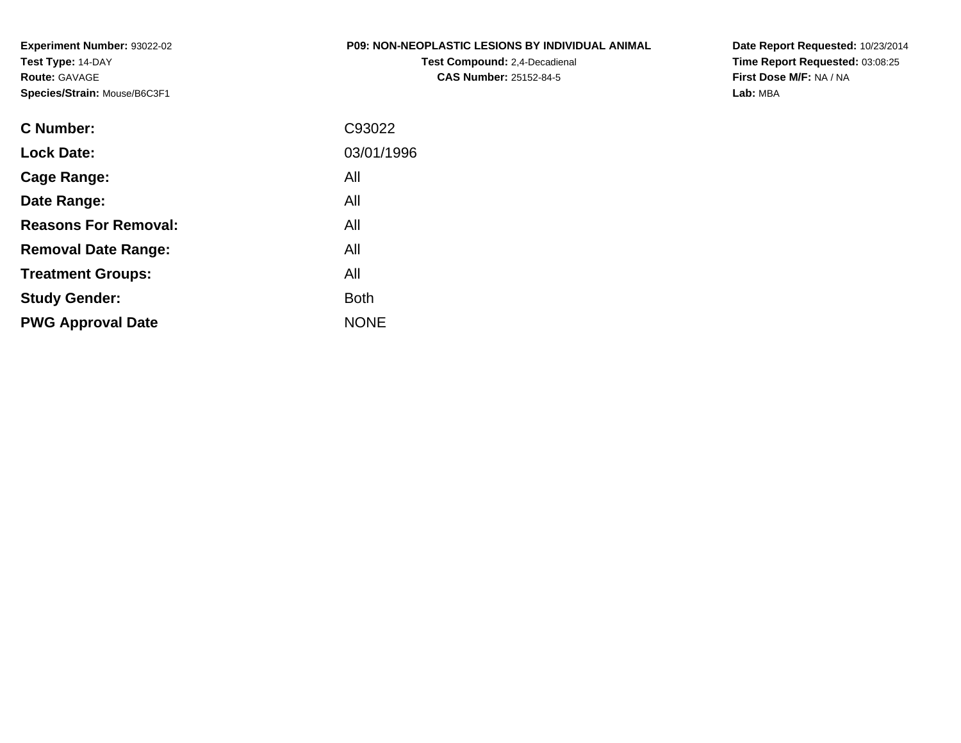**Experiment Number:** 93022-02**Test Type:** 14-DAY**Route:** GAVAGE**Species/Strain:** Mouse/B6C3F1

### **P09: NON-NEOPLASTIC LESIONS BY INDIVIDUAL ANIMAL**

**Test Compound:** 2,4-Decadienal **CAS Number:** 25152-84-5

| C93022      |
|-------------|
| 03/01/1996  |
| All         |
| All         |
| All         |
| All         |
| All         |
| <b>Both</b> |
| <b>NONE</b> |
|             |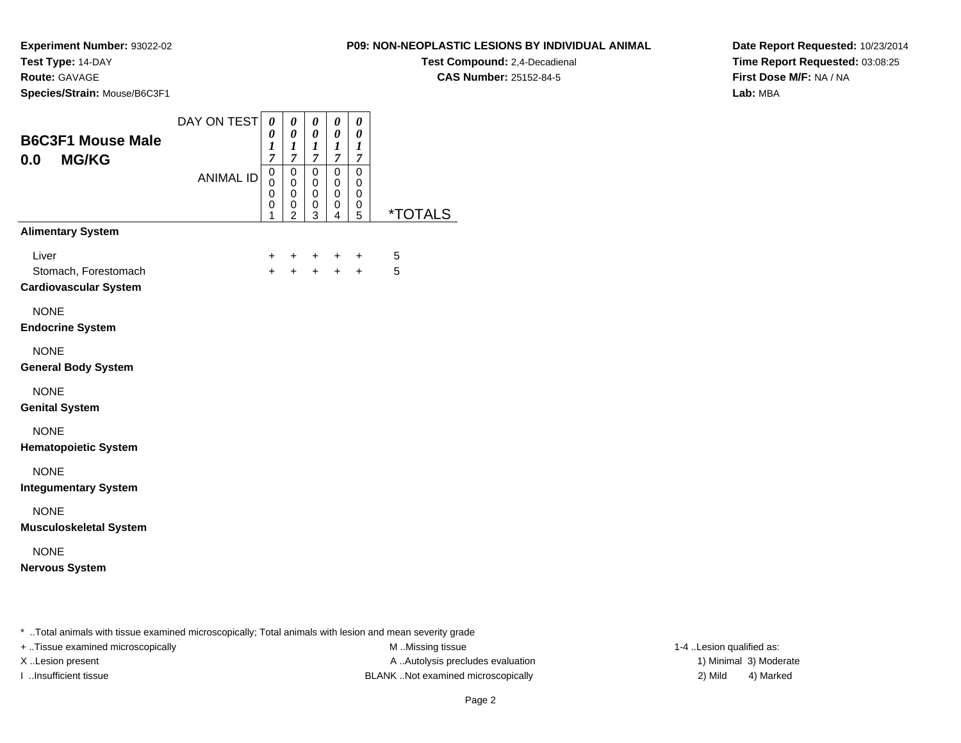**Route:** GAVAGE

**Species/Strain:** Mouse/B6C3F1

### **P09: NON-NEOPLASTIC LESIONS BY INDIVIDUAL ANIMAL**

**Test Compound:** 2,4-Decadienal **CAS Number:** 25152-84-5

**Date Report Requested:** 10/23/2014**Time Report Requested:** 03:08:25**First Dose M/F:** NA / NA**Lab:** MBA

| <b>B6C3F1 Mouse Male</b>                                      | DAY ON TEST      | $\boldsymbol{\theta}$<br>0<br>$\boldsymbol{l}$                      | 0<br>$\boldsymbol{\theta}$<br>$\boldsymbol{l}$                                           | 0<br>0<br>$\boldsymbol{l}$                           | 0<br>0<br>$\boldsymbol{I}$           | 0<br>$\boldsymbol{\theta}$<br>$\boldsymbol{l}$ |                       |
|---------------------------------------------------------------|------------------|---------------------------------------------------------------------|------------------------------------------------------------------------------------------|------------------------------------------------------|--------------------------------------|------------------------------------------------|-----------------------|
| 0.0<br><b>MG/KG</b>                                           | <b>ANIMAL ID</b> | $\overline{7}$<br>$\pmb{0}$<br>$\mathbf 0$<br>$\mathbf 0$<br>0<br>1 | $\boldsymbol{7}$<br>$\mathsf 0$<br>$\pmb{0}$<br>$\mathbf 0$<br>$\,0\,$<br>$\overline{2}$ | $\overline{7}$<br>0<br>0<br>0<br>0<br>$\overline{3}$ | 7<br>$\mathbf 0$<br>0<br>0<br>0<br>4 | 7<br>$\mathsf 0$<br>0<br>0<br>0<br>5           | <i><b>*TOTALS</b></i> |
| <b>Alimentary System</b>                                      |                  |                                                                     |                                                                                          |                                                      |                                      |                                                |                       |
| Liver<br>Stomach, Forestomach<br><b>Cardiovascular System</b> |                  | $\ddot{}$<br>$+$                                                    | $\ddot{}$<br>$+$                                                                         | $\ddot{}$<br>$+$                                     | $\ddot{}$<br>$+$                     | $\ddot{}$<br>$+$                               | 5<br>5                |
| <b>NONE</b><br><b>Endocrine System</b>                        |                  |                                                                     |                                                                                          |                                                      |                                      |                                                |                       |
| <b>NONE</b><br><b>General Body System</b>                     |                  |                                                                     |                                                                                          |                                                      |                                      |                                                |                       |
| <b>NONE</b><br><b>Genital System</b>                          |                  |                                                                     |                                                                                          |                                                      |                                      |                                                |                       |
| <b>NONE</b><br><b>Hematopoietic System</b>                    |                  |                                                                     |                                                                                          |                                                      |                                      |                                                |                       |
| <b>NONE</b><br><b>Integumentary System</b>                    |                  |                                                                     |                                                                                          |                                                      |                                      |                                                |                       |
| <b>NONE</b><br><b>Musculoskeletal System</b>                  |                  |                                                                     |                                                                                          |                                                      |                                      |                                                |                       |
| <b>NONE</b><br><b>Nervous System</b>                          |                  |                                                                     |                                                                                          |                                                      |                                      |                                                |                       |

\* ..Total animals with tissue examined microscopically; Total animals with lesion and mean severity grade

+ ..Tissue examined microscopically examined microscopically examined as:  $M$  ..Missing tissue 1-4 ..Lesion qualified as:

X..Lesion present **A ..Autolysis precludes evaluation** A ..Autolysis precludes evaluation 1) Minimal 3) Moderate I ..Insufficient tissue BLANK ..Not examined microscopically 2) Mild 4) Marked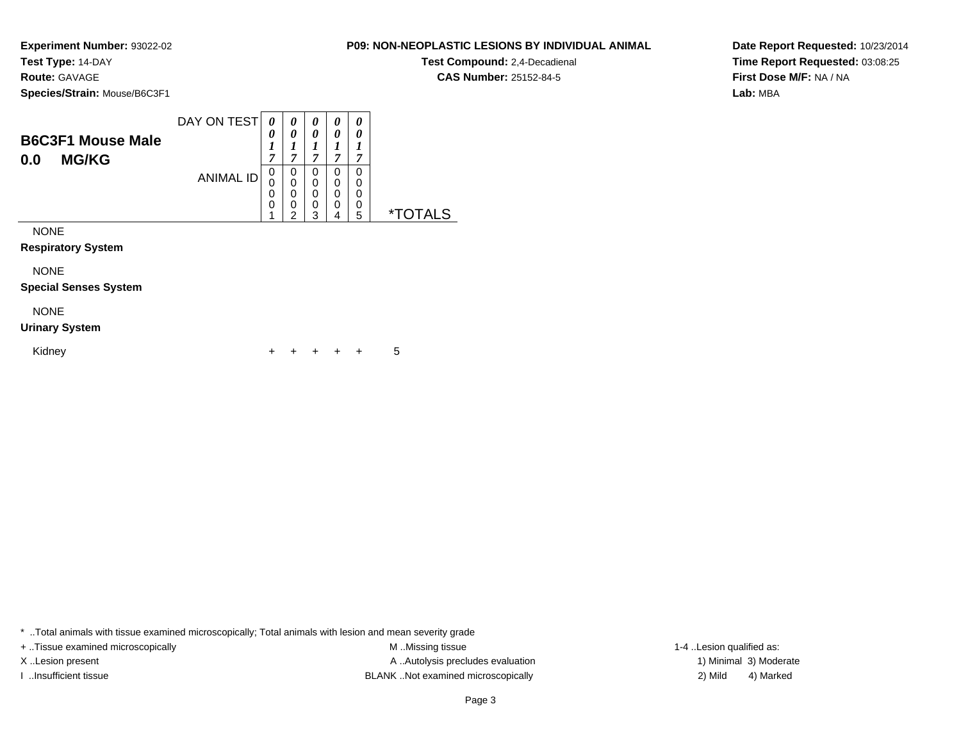### **Route:** GAVAGE

**Species/Strain:** Mouse/B6C3F1

| <b>B6C3F1 Mouse Male</b><br><b>MG/KG</b><br>0.0 | DAY ON TEST      | $\boldsymbol{\Omega}$<br>0<br>7 | 0<br>−                | 0<br>0<br>7           | 0<br>0<br>7           | 0<br>0<br>7           |    |
|-------------------------------------------------|------------------|---------------------------------|-----------------------|-----------------------|-----------------------|-----------------------|----|
|                                                 | <b>ANIMAL ID</b> | 0<br>U                          | 0<br>0<br>0<br>0<br>⌒ | 0<br>0<br>0<br>0<br>ົ | 0<br>0<br>0<br>0<br>4 | 0<br>0<br>0<br>0<br>5 | *' |

NONE

**Respiratory System**

NONE

**Special Senses System**

### NONE

#### **Urinary System**

Kidney $\mathsf y$ <sup>+</sup> <sup>+</sup> <sup>+</sup> + 5

\* ..Total animals with tissue examined microscopically; Total animals with lesion and mean severity grade

+ ..Tissue examined microscopically examined microscopically examined as:  $M$  ..Missing tissue 1-4 ..Lesion qualified as: X..Lesion present **A ..Autolysis precludes evaluation** A ..Autolysis precludes evaluation 1) Minimal 3) Moderate I ..Insufficient tissue BLANK ..Not examined microscopically 2) Mild 4) Marked

Page 3

**P09: NON-NEOPLASTIC LESIONS BY INDIVIDUAL ANIMALTest Compound:** 2,4-Decadienal **CAS Number:** 25152-84-5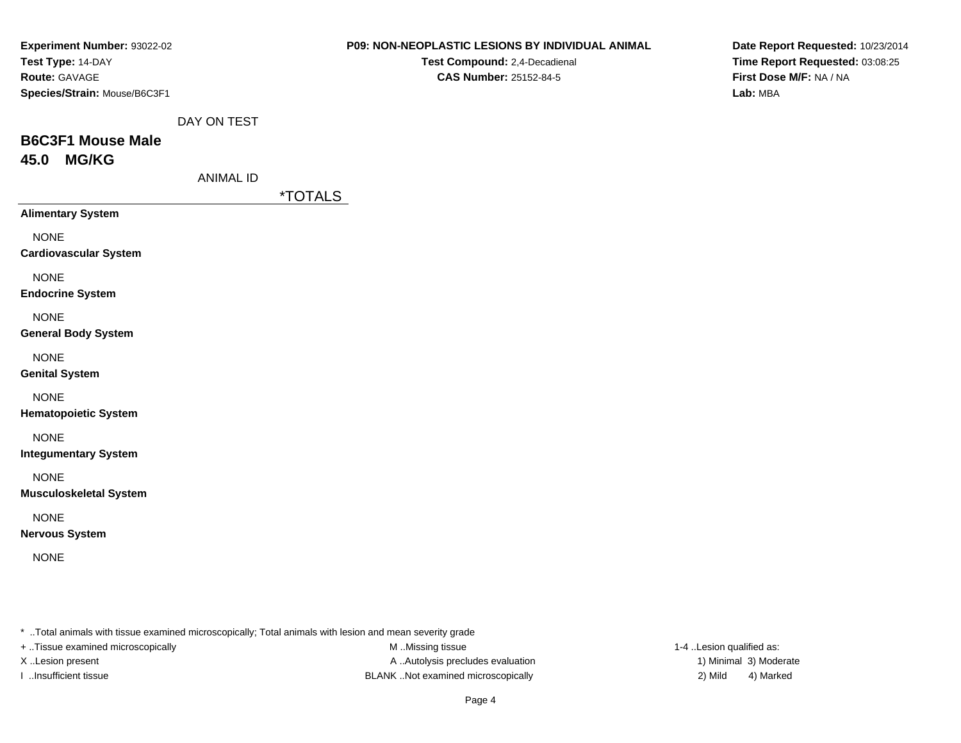| <b>Experiment Number: 93022-02</b><br>Test Type: 14-DAY<br>Route: GAVAGE<br>Species/Strain: Mouse/B6C3F1 |                  | <b>P09: NON-NEOPLASTIC LESIONS BY INDIVIDUAL ANIMAL</b><br>Test Compound: 2,4-Decadienal<br>CAS Number: 25152-84-5 | Date Report Requested: 10/23/2014<br>Time Report Requested: 03:08:25<br>First Dose M/F: NA / NA<br>Lab: MBA |
|----------------------------------------------------------------------------------------------------------|------------------|--------------------------------------------------------------------------------------------------------------------|-------------------------------------------------------------------------------------------------------------|
|                                                                                                          | DAY ON TEST      |                                                                                                                    |                                                                                                             |
| <b>B6C3F1 Mouse Male</b>                                                                                 |                  |                                                                                                                    |                                                                                                             |
| <b>MG/KG</b><br>45.0                                                                                     |                  |                                                                                                                    |                                                                                                             |
|                                                                                                          | <b>ANIMAL ID</b> |                                                                                                                    |                                                                                                             |
|                                                                                                          |                  | *TOTALS                                                                                                            |                                                                                                             |
| <b>Alimentary System</b>                                                                                 |                  |                                                                                                                    |                                                                                                             |
| <b>NONE</b><br><b>Cardiovascular System</b>                                                              |                  |                                                                                                                    |                                                                                                             |
| <b>NONE</b><br><b>Endocrine System</b>                                                                   |                  |                                                                                                                    |                                                                                                             |
| <b>NONE</b><br><b>General Body System</b>                                                                |                  |                                                                                                                    |                                                                                                             |
| <b>NONE</b><br><b>Genital System</b>                                                                     |                  |                                                                                                                    |                                                                                                             |
| <b>NONE</b><br><b>Hematopoietic System</b>                                                               |                  |                                                                                                                    |                                                                                                             |
| <b>NONE</b><br><b>Integumentary System</b>                                                               |                  |                                                                                                                    |                                                                                                             |
| <b>NONE</b><br><b>Musculoskeletal System</b>                                                             |                  |                                                                                                                    |                                                                                                             |
| <b>NONE</b><br><b>Nervous System</b>                                                                     |                  |                                                                                                                    |                                                                                                             |
| <b>NONE</b>                                                                                              |                  |                                                                                                                    |                                                                                                             |
|                                                                                                          |                  |                                                                                                                    |                                                                                                             |
|                                                                                                          |                  | * Total animals with tissue examined microscopically; Total animals with lesion and mean severity grade            |                                                                                                             |
| + Tissue examined microscopically                                                                        |                  | M Missing tissue                                                                                                   | 1-4 Lesion qualified as:                                                                                    |

M ..Missing tissue X ..Lesion present A ...Autolysis precludes evaluation I ..Insufficient tissue 2) Mild 32 Mild

1) Minimal 3) Moderate 4) Marked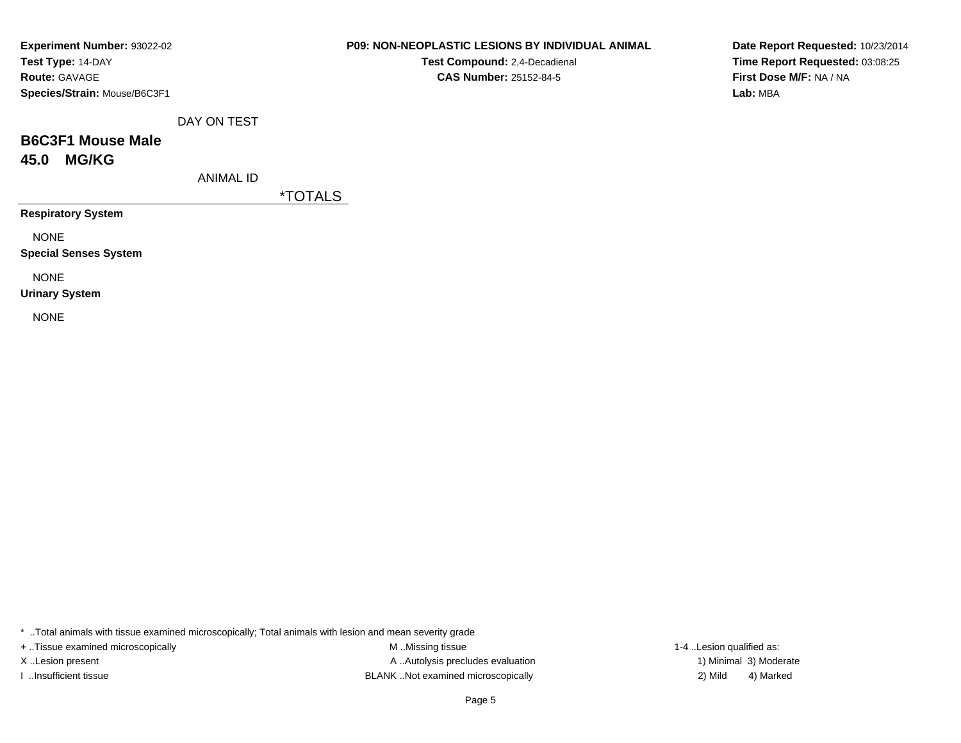| <b>Experiment Number: 93022-02</b> |
|------------------------------------|
| Test Type: 14-DAY                  |
| <b>Route: GAVAGE</b>               |
| Species/Strain: Mouse/B6C3F1       |

**Test Compound:** 2,4-Decadienal **CAS Number:** 25152-84-5

**Date Report Requested:** 10/23/2014**Time Report Requested:** 03:08:25**First Dose M/F:** NA / NA**Lab:** MBA

DAY ON TEST

## **B6C3F1 Mouse Male45.0 MG/KG**

ANIMAL ID

\*TOTALS

**Respiratory System**

NONE

**Special Senses System**

NONE

**Urinary System**

NONE

\* ..Total animals with tissue examined microscopically; Total animals with lesion and mean severity grade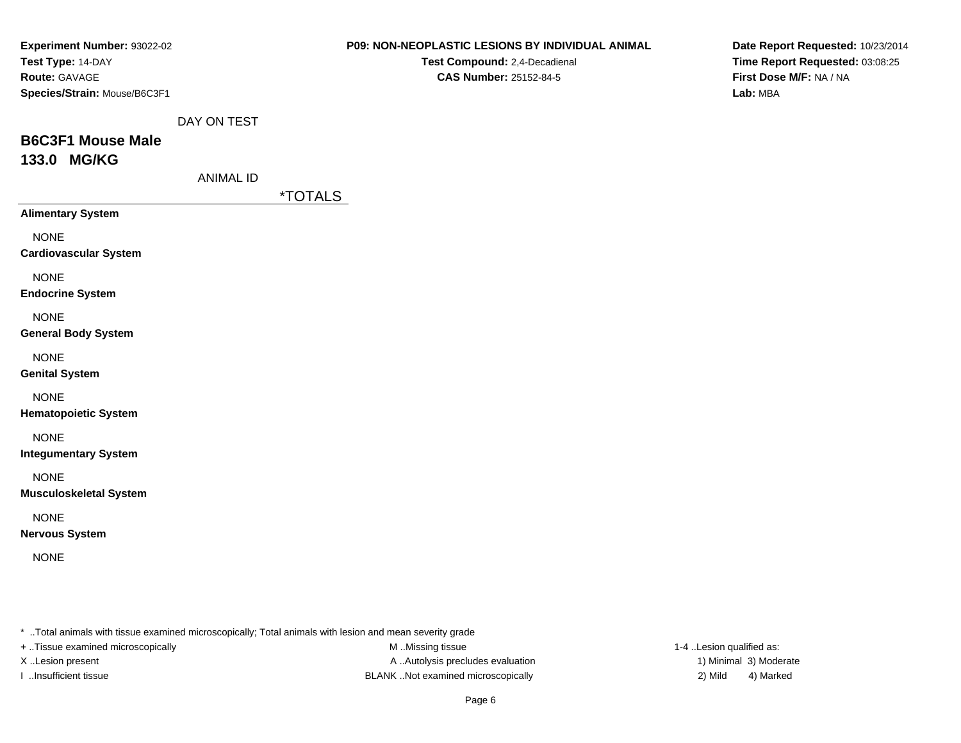| <b>Experiment Number: 93022-02</b><br>Test Type: 14-DAY |                  | <b>P09: NON-NEOPLASTIC LESIONS BY INDIVIDUAL ANIMAL</b><br>Test Compound: 2,4-Decadienal                | Date Report Requested: 10/23/2014<br>Time Report Requested: 03:08:25 |
|---------------------------------------------------------|------------------|---------------------------------------------------------------------------------------------------------|----------------------------------------------------------------------|
| Route: GAVAGE<br>Species/Strain: Mouse/B6C3F1           |                  | CAS Number: 25152-84-5                                                                                  | First Dose M/F: NA / NA<br>Lab: MBA                                  |
|                                                         | DAY ON TEST      |                                                                                                         |                                                                      |
| <b>B6C3F1 Mouse Male</b><br>133.0 MG/KG                 |                  |                                                                                                         |                                                                      |
|                                                         | <b>ANIMAL ID</b> |                                                                                                         |                                                                      |
| <b>Alimentary System</b>                                |                  | <i><b>*TOTALS</b></i>                                                                                   |                                                                      |
| <b>NONE</b><br><b>Cardiovascular System</b>             |                  |                                                                                                         |                                                                      |
| <b>NONE</b><br><b>Endocrine System</b>                  |                  |                                                                                                         |                                                                      |
| <b>NONE</b><br><b>General Body System</b>               |                  |                                                                                                         |                                                                      |
| <b>NONE</b><br><b>Genital System</b>                    |                  |                                                                                                         |                                                                      |
| <b>NONE</b><br><b>Hematopoietic System</b>              |                  |                                                                                                         |                                                                      |
| <b>NONE</b><br><b>Integumentary System</b>              |                  |                                                                                                         |                                                                      |
| <b>NONE</b><br><b>Musculoskeletal System</b>            |                  |                                                                                                         |                                                                      |
| <b>NONE</b><br><b>Nervous System</b>                    |                  |                                                                                                         |                                                                      |
| <b>NONE</b>                                             |                  |                                                                                                         |                                                                      |
|                                                         |                  | * Total animals with tissue examined microscopically; Total animals with lesion and mean severity grade |                                                                      |
| + Tissue examined microscopically                       |                  | M Missing tissue                                                                                        | 1-4 Lesion qualified as:                                             |

M ..Missing tissue X ..Lesion present A ...Autolysis precludes evaluation I ..Insufficient tissue 2) Mild 32 Mild

1) Minimal 3) Moderate 4) Marked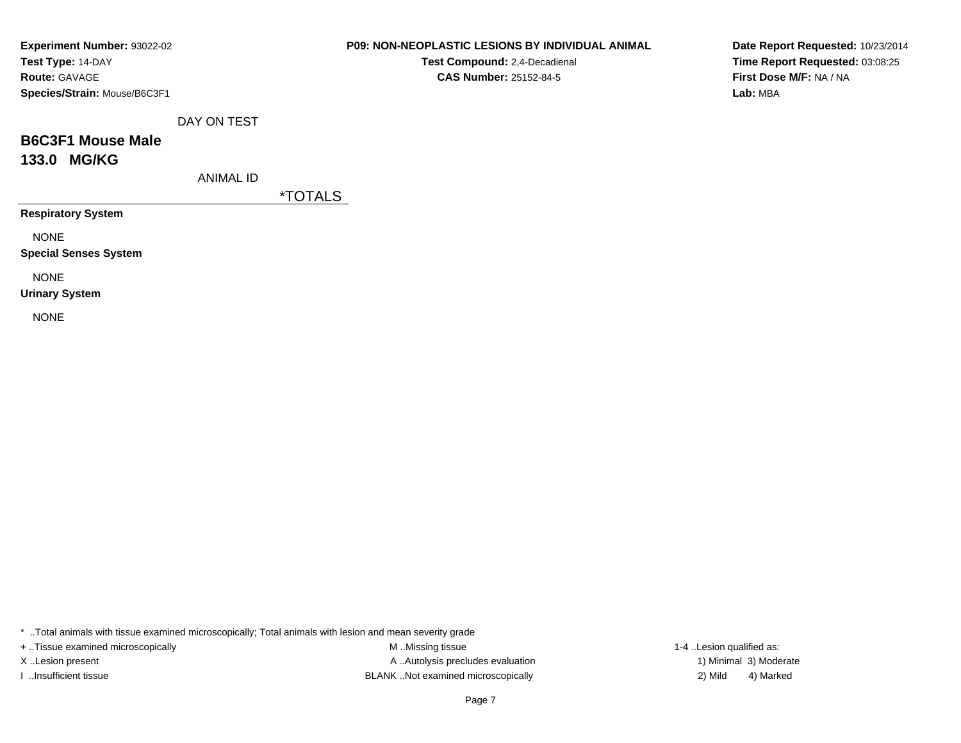| Experiment Number: 93022-02  |
|------------------------------|
| Test Type: 14-DAY            |
| <b>Route: GAVAGE</b>         |
| Species/Strain: Mouse/B6C3F1 |

**Test Compound:** 2,4-Decadienal **CAS Number:** 25152-84-5

**Date Report Requested:** 10/23/2014**Time Report Requested:** 03:08:25**First Dose M/F:** NA / NA**Lab:** MBA

DAY ON TEST

## **B6C3F1 Mouse Male133.0 MG/KG**

ANIMAL ID

\*TOTALS

**Respiratory System**

NONE

**Special Senses System**

NONE

**Urinary System**

NONE

\* ..Total animals with tissue examined microscopically; Total animals with lesion and mean severity grade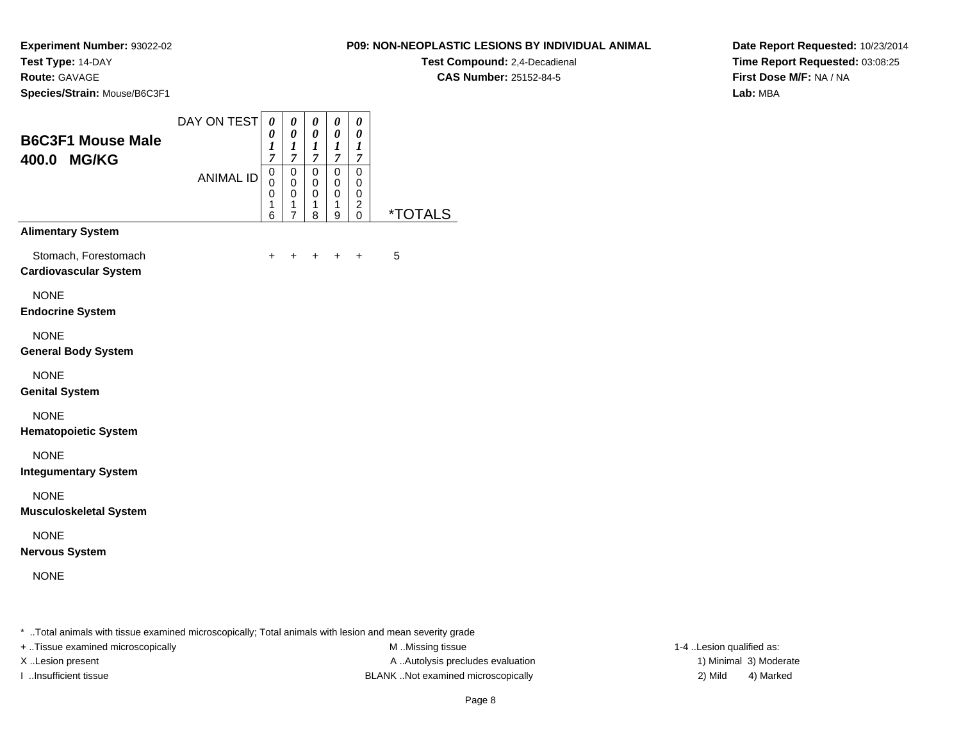**Test Compound:** 2,4-Decadienal **CAS Number:** 25152-84-5

**Experiment Number:** 93022-02**Test Type:** 14-DAY**Route:** GAVAGE

**Species/Strain:** Mouse/B6C3F1

| <b>B6C3F1 Mouse Male</b><br>400.0 MG/KG                                          | DAY ON TEST<br><b>ANIMAL ID</b> | 0<br>0<br>1<br>$\overline{7}$<br>0<br>$\mathbf 0$<br>0<br>1<br>6 | 0<br>0<br>1<br>$\overline{7}$<br>0<br>0<br>0<br>1<br>$\overline{7}$ | 0<br>0<br>1<br>7<br>$\pmb{0}$<br>0<br>0<br>1<br>8 | 0<br>0<br>1<br>7<br>$\mathbf 0$<br>0<br>0<br>1<br>9 | 0<br>0<br>1<br>7<br>0<br>0<br>0<br>$\overline{\mathbf{c}}$<br>0 | <i><b>*TOTALS</b></i> |
|----------------------------------------------------------------------------------|---------------------------------|------------------------------------------------------------------|---------------------------------------------------------------------|---------------------------------------------------|-----------------------------------------------------|-----------------------------------------------------------------|-----------------------|
| <b>Alimentary System</b><br>Stomach, Forestomach<br><b>Cardiovascular System</b> |                                 | +                                                                | +                                                                   | +                                                 | $\div$                                              | $\ddot{}$                                                       | 5                     |
| <b>NONE</b><br><b>Endocrine System</b>                                           |                                 |                                                                  |                                                                     |                                                   |                                                     |                                                                 |                       |
| <b>NONE</b><br><b>General Body System</b>                                        |                                 |                                                                  |                                                                     |                                                   |                                                     |                                                                 |                       |
| <b>NONE</b><br><b>Genital System</b>                                             |                                 |                                                                  |                                                                     |                                                   |                                                     |                                                                 |                       |
| <b>NONE</b><br><b>Hematopoietic System</b>                                       |                                 |                                                                  |                                                                     |                                                   |                                                     |                                                                 |                       |
| <b>NONE</b><br><b>Integumentary System</b>                                       |                                 |                                                                  |                                                                     |                                                   |                                                     |                                                                 |                       |
| <b>NONE</b><br><b>Musculoskeletal System</b>                                     |                                 |                                                                  |                                                                     |                                                   |                                                     |                                                                 |                       |
| <b>NONE</b><br><b>Nervous System</b>                                             |                                 |                                                                  |                                                                     |                                                   |                                                     |                                                                 |                       |
| <b>NONE</b>                                                                      |                                 |                                                                  |                                                                     |                                                   |                                                     |                                                                 |                       |

**Date Report Requested:** 10/23/2014**Time Report Requested:** 03:08:25**First Dose M/F:** NA / NA**Lab:** MBA

\* ..Total animals with tissue examined microscopically; Total animals with lesion and mean severity grade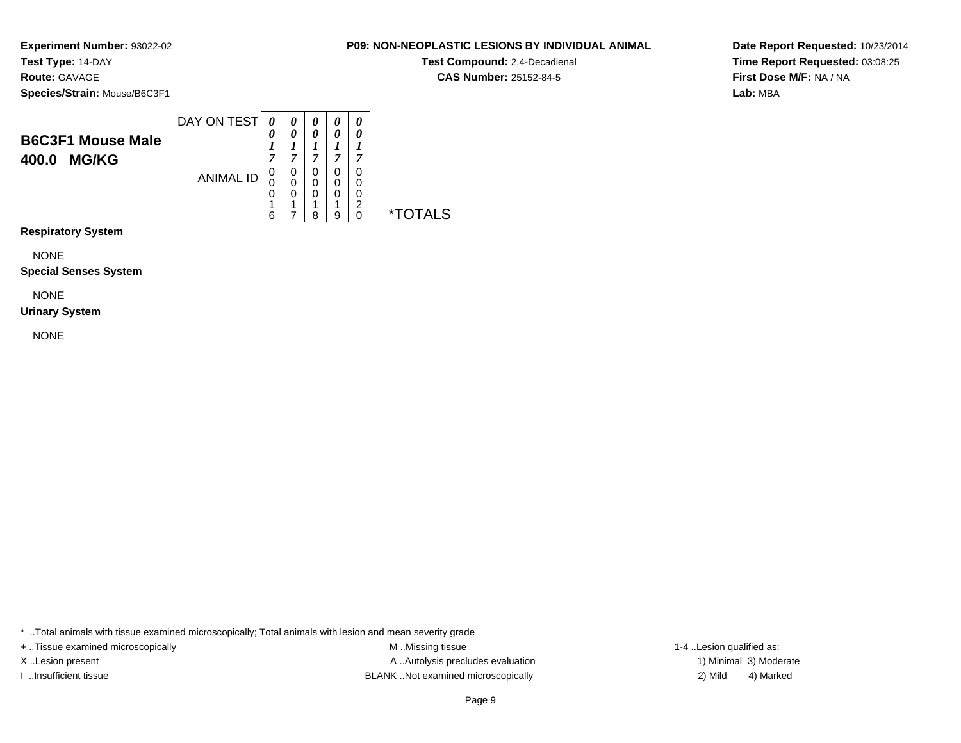### **Route:** GAVAGE

**Species/Strain:** Mouse/B6C3F1

| <b>B6C3F1 Mouse Male</b><br><b>MG/KG</b><br>400.0 | DAY ON TEST      | 0<br>7                | 0<br>~      | 0<br>0<br>−      | $\theta$<br>0<br>~    | 0<br>0<br>~           |           |
|---------------------------------------------------|------------------|-----------------------|-------------|------------------|-----------------------|-----------------------|-----------|
|                                                   | <b>ANIMAL ID</b> | 0<br>0<br>0<br>◢<br>6 | 0<br>0<br>0 | 0<br>0<br>0<br>8 | 0<br>0<br>0<br>◢<br>9 | 0<br>0<br>0<br>2<br>0 | $\star^-$ |

**Respiratory System**

NONE

**Special Senses System**

NONE

#### **Urinary System**

NONE

\* ..Total animals with tissue examined microscopically; Total animals with lesion and mean severity grade

+ ..Tissue examined microscopically examined microscopically examined as:  $M$  ..Missing tissue 1-4 ..Lesion qualified as: X..Lesion present **A ..Autolysis precludes evaluation** A ..Autolysis precludes evaluation 1) Minimal 3) Moderate I ..Insufficient tissue BLANK ..Not examined microscopically 2) Mild 4) Marked

Page 9

**Date Report Requested:** 10/23/2014**Time Report Requested:** 03:08:25**First Dose M/F:** NA / NA**Lab:** MBA

### **P09: NON-NEOPLASTIC LESIONS BY INDIVIDUAL ANIMAL**

**Test Compound:** 2,4-Decadienal **CAS Number:** 25152-84-5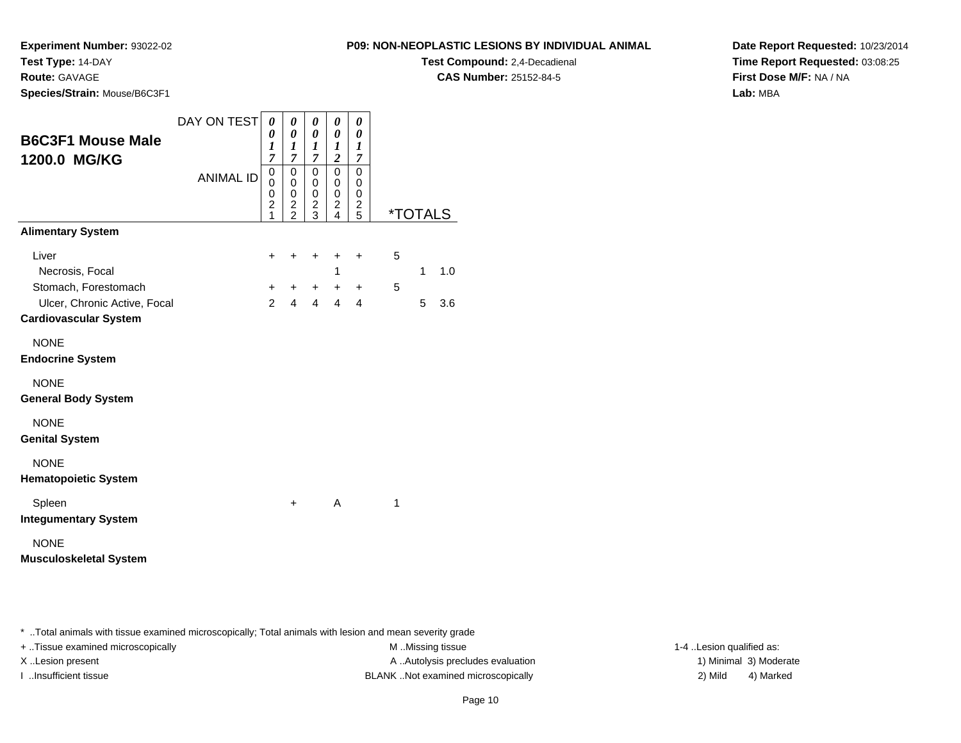**Experiment Number:** 93022-02

**Test Type:** 14-DAY

**Route:** GAVAGE

**Species/Strain:** Mouse/B6C3F1

### **P09: NON-NEOPLASTIC LESIONS BY INDIVIDUAL ANIMAL**

**Test Compound:** 2,4-Decadienal **CAS Number:** 25152-84-5

**Date Report Requested:** 10/23/2014**Time Report Requested:** 03:08:25**First Dose M/F:** NA / NA**Lab:** MBA

| <b>B6C3F1 Mouse Male</b>                                                             | DAY ON TEST      | 0<br>0<br>1                                                   | 0<br>$\boldsymbol{\theta}$<br>$\boldsymbol{l}$           | 0<br>0<br>1                                              | 0<br>0<br>$\boldsymbol{l}$                                                        | 0<br>0<br>1                                           |   |                       |     |
|--------------------------------------------------------------------------------------|------------------|---------------------------------------------------------------|----------------------------------------------------------|----------------------------------------------------------|-----------------------------------------------------------------------------------|-------------------------------------------------------|---|-----------------------|-----|
| 1200.0 MG/KG                                                                         | <b>ANIMAL ID</b> | $\overline{7}$<br>0<br>0<br>0<br>$\overline{\mathbf{c}}$<br>1 | $\overline{7}$<br>0<br>$\mathbf 0$<br>0<br>$\frac{2}{2}$ | $\overline{7}$<br>0<br>$\mathbf 0$<br>0<br>$\frac{2}{3}$ | $\overline{2}$<br>$\mathbf 0$<br>$\mathbf 0$<br>0<br>$\overline{\mathbf{c}}$<br>4 | 7<br>$\mathbf 0$<br>$\mathbf 0$<br>0<br>$\frac{2}{5}$ |   | <i><b>*TOTALS</b></i> |     |
| <b>Alimentary System</b>                                                             |                  |                                                               |                                                          |                                                          |                                                                                   |                                                       |   |                       |     |
| Liver<br>Necrosis, Focal                                                             |                  | +                                                             | ٠                                                        | +                                                        | ٠<br>1                                                                            | $\ddot{}$                                             | 5 | 1                     | 1.0 |
| Stomach, Forestomach<br>Ulcer, Chronic Active, Focal<br><b>Cardiovascular System</b> |                  | +<br>$\mathcal{P}$                                            | +<br>$\overline{4}$                                      | $\ddot{}$<br>$\overline{4}$                              | $+$<br>4                                                                          | $\ddot{}$<br>$\overline{4}$                           | 5 | 5                     | 3.6 |
| <b>NONE</b><br><b>Endocrine System</b>                                               |                  |                                                               |                                                          |                                                          |                                                                                   |                                                       |   |                       |     |
| <b>NONE</b><br><b>General Body System</b>                                            |                  |                                                               |                                                          |                                                          |                                                                                   |                                                       |   |                       |     |
| <b>NONE</b><br><b>Genital System</b>                                                 |                  |                                                               |                                                          |                                                          |                                                                                   |                                                       |   |                       |     |
| <b>NONE</b><br><b>Hematopoietic System</b>                                           |                  |                                                               |                                                          |                                                          |                                                                                   |                                                       |   |                       |     |
| Spleen<br><b>Integumentary System</b>                                                |                  |                                                               | +                                                        |                                                          | A                                                                                 |                                                       | 1 |                       |     |
| <b>NONE</b><br><b>Musculoskeletal System</b>                                         |                  |                                                               |                                                          |                                                          |                                                                                   |                                                       |   |                       |     |

\* ..Total animals with tissue examined microscopically; Total animals with lesion and mean severity grade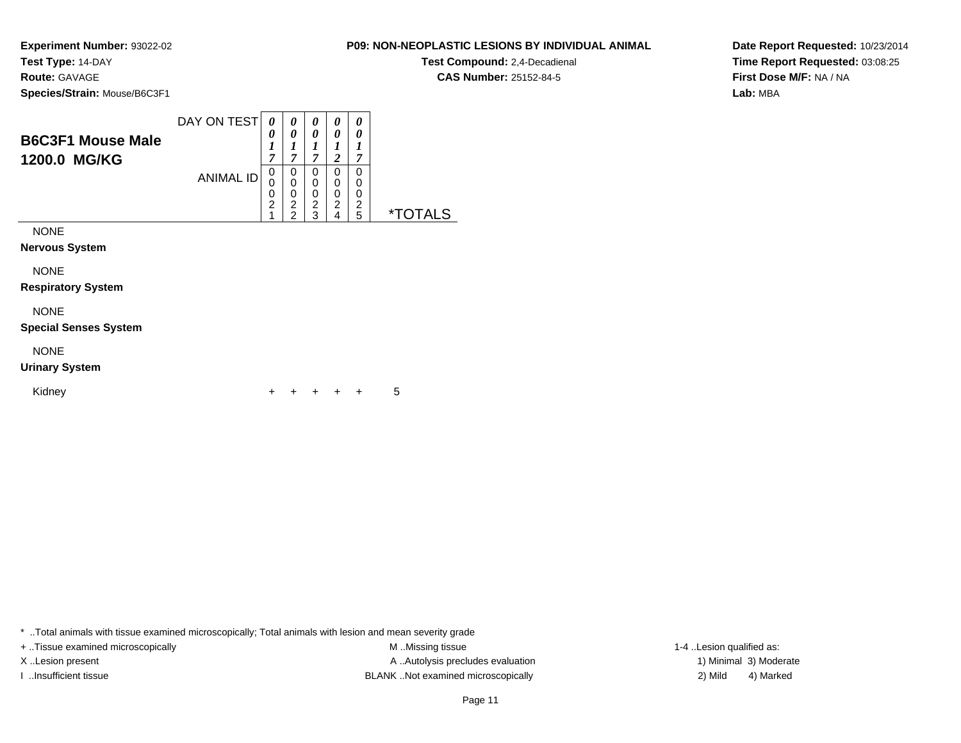**Test Compound:** 2,4-Decadienal **CAS Number:** 25152-84-5

**Date Report Requested:** 10/23/2014**Time Report Requested:** 03:08:25**First Dose M/F:** NA / NA**Lab:** MBA

**Experiment Number:** 93022-02**Test Type:** 14-DAY**Route:** GAVAGE**Species/Strain:** Mouse/B6C3F1

| <b>B6C3F1 Mouse Male</b><br>1200.0 MG/KG | DAY ON TEST      | 0<br>0<br>1<br>7                   | 0<br>0<br>1<br>7                                          | 0<br>0<br>7                        | 0<br>0<br>2                        | 0<br>0<br>1<br>7      |                       |
|------------------------------------------|------------------|------------------------------------|-----------------------------------------------------------|------------------------------------|------------------------------------|-----------------------|-----------------------|
|                                          | <b>ANIMAL ID</b> | 0<br>0<br>0<br>$\overline{2}$<br>1 | 0<br>$\mathbf 0$<br>0<br>$\overline{2}$<br>$\overline{2}$ | 0<br>0<br>0<br>$\overline{2}$<br>3 | 0<br>0<br>0<br>$\overline{c}$<br>4 | 0<br>0<br>0<br>2<br>5 | <i><b>*TOTALS</b></i> |
| <b>NONE</b>                              |                  |                                    |                                                           |                                    |                                    |                       |                       |
| <b>Nervous System</b>                    |                  |                                    |                                                           |                                    |                                    |                       |                       |
| <b>NONE</b>                              |                  |                                    |                                                           |                                    |                                    |                       |                       |
| <b>Respiratory System</b>                |                  |                                    |                                                           |                                    |                                    |                       |                       |
| <b>NONE</b>                              |                  |                                    |                                                           |                                    |                                    |                       |                       |
| <b>Special Senses System</b>             |                  |                                    |                                                           |                                    |                                    |                       |                       |
| <b>NONE</b>                              |                  |                                    |                                                           |                                    |                                    |                       |                       |
|                                          |                  |                                    |                                                           |                                    |                                    |                       |                       |

### **Spe**

### **Urinary System**

| Kidney |  |  |  |  | $+ + + + + + 5$ |  |
|--------|--|--|--|--|-----------------|--|
|--------|--|--|--|--|-----------------|--|

\* ..Total animals with tissue examined microscopically; Total animals with lesion and mean severity grade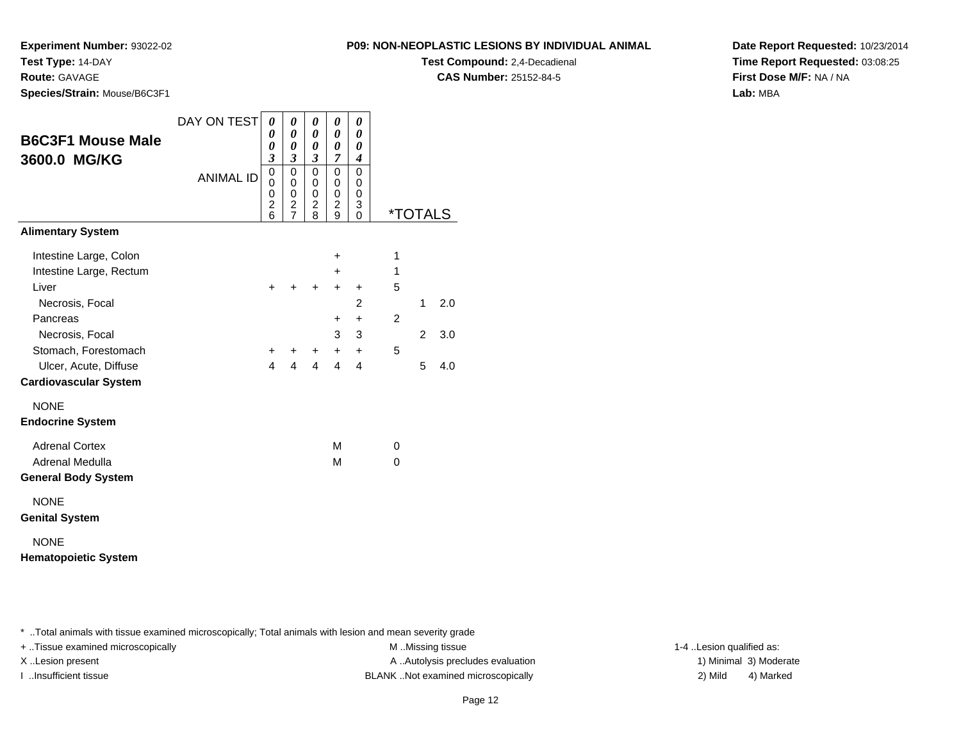**Test Compound:** 2,4-Decadienal **CAS Number:** 25152-84-5

**Experiment Number:** 93022-02

**Test Type:** 14-DAY**Route:** GAVAGE

**Species/Strain:** Mouse/B6C3F1

| <b>B6C3F1 Mouse Male</b><br>3600.0 MG/KG<br><b>Alimentary System</b> | DAY ON TEST<br><b>ANIMAL ID</b> | 0<br>0<br>0<br>$\overline{\mathbf{3}}$<br>0<br>0<br>0<br>$\overline{\mathbf{c}}$<br>$\overline{6}$ | 0<br>0<br>0<br>$\boldsymbol{\mathfrak{z}}$<br>0<br>0<br>0<br>$\frac{2}{7}$ | 0<br>0<br>0<br>$\mathfrak{z}$<br>$\mathbf 0$<br>0<br>$\mathbf 0$<br>$\boldsymbol{2}$<br>8 | 0<br>0<br>0<br>$\overline{7}$<br>0<br>0<br>0<br>$\overline{c}$<br>9 | 0<br>0<br>0<br>$\boldsymbol{4}$<br>$\mathbf 0$<br>0<br>0<br>3<br>0 | <i><b>*TOTALS</b></i> |   |     |
|----------------------------------------------------------------------|---------------------------------|----------------------------------------------------------------------------------------------------|----------------------------------------------------------------------------|-------------------------------------------------------------------------------------------|---------------------------------------------------------------------|--------------------------------------------------------------------|-----------------------|---|-----|
|                                                                      |                                 |                                                                                                    |                                                                            |                                                                                           |                                                                     |                                                                    |                       |   |     |
| Intestine Large, Colon                                               |                                 |                                                                                                    |                                                                            |                                                                                           | +                                                                   |                                                                    | 1                     |   |     |
| Intestine Large, Rectum                                              |                                 |                                                                                                    |                                                                            |                                                                                           | $\ddot{}$                                                           |                                                                    | 1                     |   |     |
| Liver                                                                |                                 | $\ddot{}$                                                                                          | +                                                                          | $\ddot{}$                                                                                 | $\ddot{}$                                                           | $\ddot{}$                                                          | 5                     |   |     |
| Necrosis, Focal                                                      |                                 |                                                                                                    |                                                                            |                                                                                           |                                                                     | 2                                                                  |                       | 1 | 2.0 |
| Pancreas                                                             |                                 |                                                                                                    |                                                                            |                                                                                           | +                                                                   | $\ddot{}$                                                          | $\overline{2}$        |   |     |
| Necrosis, Focal                                                      |                                 |                                                                                                    |                                                                            |                                                                                           | 3                                                                   | 3                                                                  |                       | 2 | 3.0 |
| Stomach, Forestomach                                                 |                                 | +<br>$\overline{4}$                                                                                | +<br>$\overline{\mathbf{A}}$                                               | $\ddot{}$<br>$\overline{4}$                                                               | $+$<br>4                                                            | $\ddot{}$                                                          | 5                     |   |     |
| Ulcer, Acute, Diffuse                                                |                                 |                                                                                                    |                                                                            |                                                                                           |                                                                     | 4                                                                  |                       | 5 | 4.0 |
| <b>Cardiovascular System</b>                                         |                                 |                                                                                                    |                                                                            |                                                                                           |                                                                     |                                                                    |                       |   |     |
| <b>NONE</b>                                                          |                                 |                                                                                                    |                                                                            |                                                                                           |                                                                     |                                                                    |                       |   |     |
| <b>Endocrine System</b>                                              |                                 |                                                                                                    |                                                                            |                                                                                           |                                                                     |                                                                    |                       |   |     |
| <b>Adrenal Cortex</b>                                                |                                 |                                                                                                    |                                                                            |                                                                                           | м                                                                   |                                                                    | 0                     |   |     |
| Adrenal Medulla                                                      |                                 |                                                                                                    |                                                                            |                                                                                           | M                                                                   |                                                                    | $\Omega$              |   |     |
| <b>General Body System</b>                                           |                                 |                                                                                                    |                                                                            |                                                                                           |                                                                     |                                                                    |                       |   |     |
| <b>NONE</b><br><b>Genital System</b>                                 |                                 |                                                                                                    |                                                                            |                                                                                           |                                                                     |                                                                    |                       |   |     |
| <b>NONE</b>                                                          |                                 |                                                                                                    |                                                                            |                                                                                           |                                                                     |                                                                    |                       |   |     |

**Hematopoietic System**

\* ..Total animals with tissue examined microscopically; Total animals with lesion and mean severity grade

+ ..Tissue examined microscopically examined microscopically examined as:  $M$  ..Missing tissue 1-4 ..Lesion qualified as: X..Lesion present **A ..Autolysis precludes evaluation** A ..Autolysis precludes evaluation 1) Minimal 3) Moderate I ..Insufficient tissue BLANK ..Not examined microscopically 2) Mild 4) Marked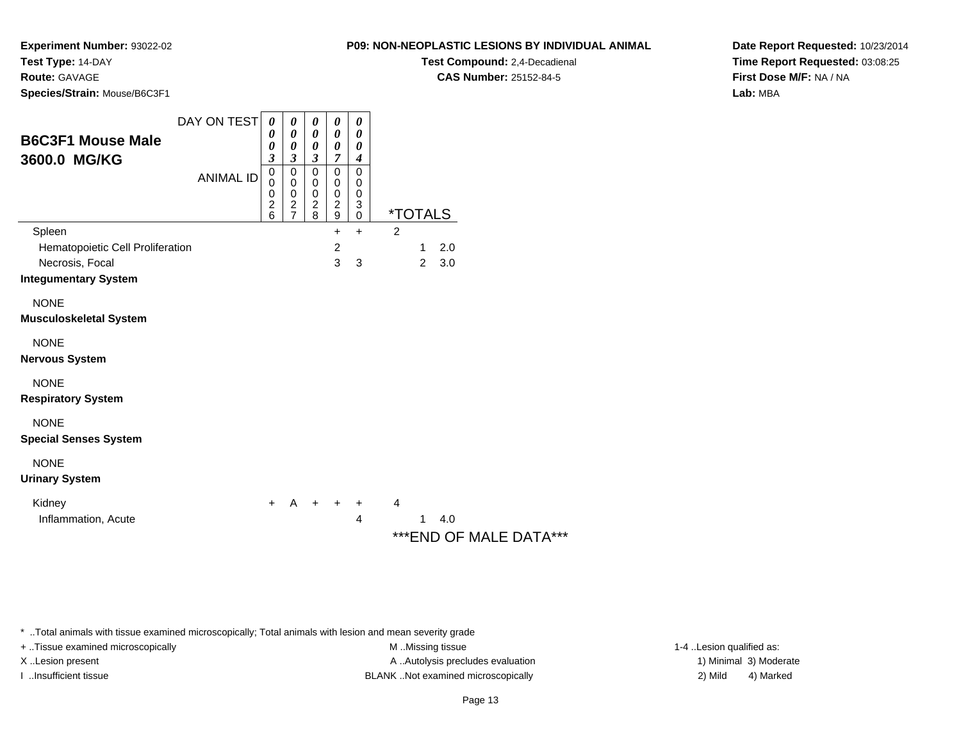**Experiment Number:** 93022-02

**Test Type:** 14-DAY

### **Route:** GAVAGE

**Species/Strain:** Mouse/B6C3F1

| <b>B6C3F1 Mouse Male</b><br>3600.0 MG/KG                                                     | DAY ON TEST<br><b>ANIMAL ID</b> | 0<br>0<br>0<br>3<br>$\mathbf 0$<br>0<br>0<br>$\frac{2}{6}$ | 0<br>$\pmb{\theta}$<br>$\boldsymbol{\theta}$<br>$\mathfrak{z}$<br>$\pmb{0}$<br>$\pmb{0}$<br>$\pmb{0}$<br>$\frac{2}{7}$ | 0<br>$\boldsymbol{\theta}$<br>0<br>$\mathfrak{z}$<br>0<br>0<br>0<br>$\frac{2}{8}$ | 0<br>0<br>$\boldsymbol{\theta}$<br>$\overline{7}$<br>$\mathbf 0$<br>0<br>$\pmb{0}$<br>$\frac{2}{9}$ | 0<br>0<br>$\boldsymbol{\theta}$<br>$\boldsymbol{4}$<br>$\mathbf 0$<br>0<br>0<br>3<br>$\mathbf 0$ | <i><b>*TOTALS</b></i>                                 |
|----------------------------------------------------------------------------------------------|---------------------------------|------------------------------------------------------------|------------------------------------------------------------------------------------------------------------------------|-----------------------------------------------------------------------------------|-----------------------------------------------------------------------------------------------------|--------------------------------------------------------------------------------------------------|-------------------------------------------------------|
| Spleen<br>Hematopoietic Cell Proliferation<br>Necrosis, Focal<br><b>Integumentary System</b> |                                 |                                                            |                                                                                                                        |                                                                                   | +<br>$\overline{c}$<br>3                                                                            | $+$<br>3                                                                                         | 2<br>2.0<br>1<br>$\overline{2}$<br>3.0                |
| <b>NONE</b><br><b>Musculoskeletal System</b>                                                 |                                 |                                                            |                                                                                                                        |                                                                                   |                                                                                                     |                                                                                                  |                                                       |
| <b>NONE</b><br><b>Nervous System</b>                                                         |                                 |                                                            |                                                                                                                        |                                                                                   |                                                                                                     |                                                                                                  |                                                       |
| <b>NONE</b><br><b>Respiratory System</b>                                                     |                                 |                                                            |                                                                                                                        |                                                                                   |                                                                                                     |                                                                                                  |                                                       |
| <b>NONE</b><br><b>Special Senses System</b>                                                  |                                 |                                                            |                                                                                                                        |                                                                                   |                                                                                                     |                                                                                                  |                                                       |
| <b>NONE</b><br><b>Urinary System</b>                                                         |                                 |                                                            |                                                                                                                        |                                                                                   |                                                                                                     |                                                                                                  |                                                       |
| Kidney<br>Inflammation, Acute                                                                |                                 | $+$                                                        | A                                                                                                                      | $+$ $+$                                                                           |                                                                                                     | +<br>4                                                                                           | $\overline{4}$<br>1<br>4.0<br>*** END OF MALE DATA*** |

\* ..Total animals with tissue examined microscopically; Total animals with lesion and mean severity grade

+ ..Tissue examined microscopically examined microscopically examined as:  $M$  ..Missing tissue 1-4 ..Lesion qualified as: X..Lesion present **A ..Autolysis precludes evaluation** A ..Autolysis precludes evaluation 1) Minimal 3) Moderate I ..Insufficient tissue BLANK ..Not examined microscopically 2) Mild 4) Marked

Page 13

**Date Report Requested:** 10/23/2014**Time Report Requested:** 03:08:25**First Dose M/F:** NA / NA**Lab:** MBA

### **P09: NON-NEOPLASTIC LESIONS BY INDIVIDUAL ANIMAL**

**Test Compound:** 2,4-Decadienal

**CAS Number:** 25152-84-5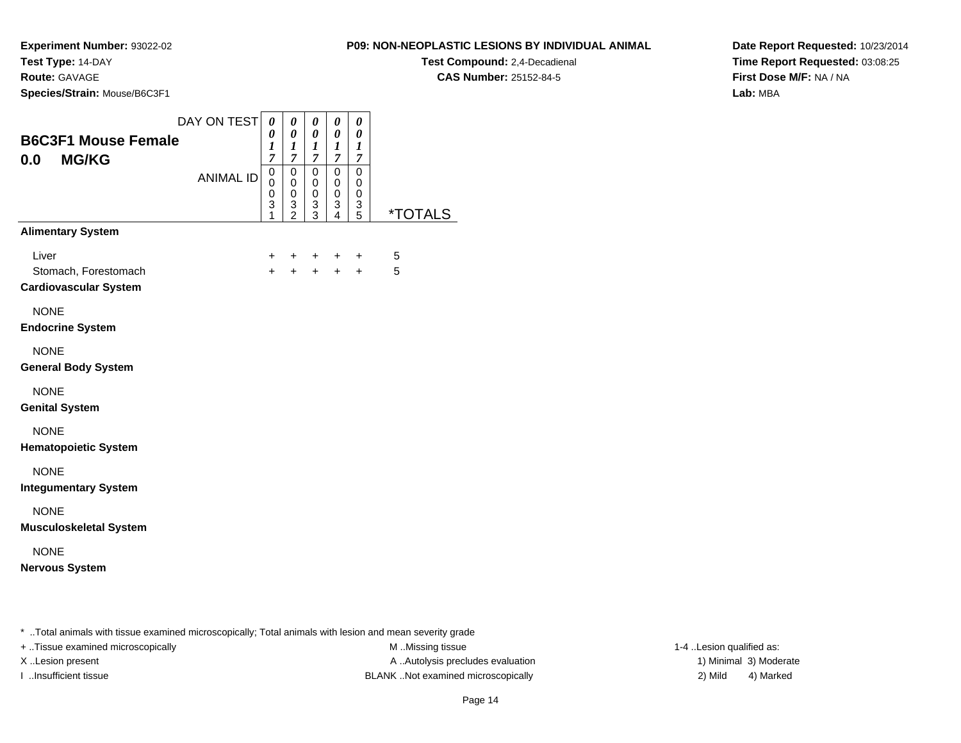**Route:** GAVAGE

**Species/Strain:** Mouse/B6C3F1

### **P09: NON-NEOPLASTIC LESIONS BY INDIVIDUAL ANIMAL**

**Test Compound:** 2,4-Decadienal **CAS Number:** 25152-84-5

**Date Report Requested:** 10/23/2014**Time Report Requested:** 03:08:25**First Dose M/F:** NA / NA**Lab:** MBA

| <b>B6C3F1 Mouse Female</b><br><b>MG/KG</b><br>0.0             | DAY ON TEST      | $\pmb{\theta}$<br>0<br>1<br>$\overline{7}$          | 0<br>0<br>1<br>$\overline{7}$                            | 0<br>0<br>1<br>$\overline{7}$          | 0<br>0<br>$\boldsymbol{l}$<br>7 | 0<br>0<br>1<br>7                       |                       |
|---------------------------------------------------------------|------------------|-----------------------------------------------------|----------------------------------------------------------|----------------------------------------|---------------------------------|----------------------------------------|-----------------------|
|                                                               | <b>ANIMAL ID</b> | $\mathsf 0$<br>$\mathbf 0$<br>$\mathbf 0$<br>3<br>1 | $\mathbf 0$<br>$\pmb{0}$<br>$\mathsf 0$<br>$\frac{3}{2}$ | $\mathbf 0$<br>0<br>0<br>$\frac{3}{3}$ | 0<br>0<br>$\pmb{0}$<br>3<br>4   | $\mathbf 0$<br>0<br>0<br>$\frac{3}{5}$ | <i><b>*TOTALS</b></i> |
| <b>Alimentary System</b>                                      |                  |                                                     |                                                          |                                        |                                 |                                        |                       |
| Liver<br>Stomach, Forestomach<br><b>Cardiovascular System</b> |                  | +<br>$+$                                            | +<br>$+$                                                 | +<br>$+$                               | $\ddot{}$<br>$+$                | +<br>$+$                               | 5<br>5                |
| <b>NONE</b><br><b>Endocrine System</b>                        |                  |                                                     |                                                          |                                        |                                 |                                        |                       |
| <b>NONE</b><br><b>General Body System</b>                     |                  |                                                     |                                                          |                                        |                                 |                                        |                       |
| <b>NONE</b><br><b>Genital System</b>                          |                  |                                                     |                                                          |                                        |                                 |                                        |                       |
| <b>NONE</b><br><b>Hematopoietic System</b>                    |                  |                                                     |                                                          |                                        |                                 |                                        |                       |
| <b>NONE</b><br><b>Integumentary System</b>                    |                  |                                                     |                                                          |                                        |                                 |                                        |                       |
| <b>NONE</b><br><b>Musculoskeletal System</b>                  |                  |                                                     |                                                          |                                        |                                 |                                        |                       |
| <b>NONE</b><br><b>Nervous System</b>                          |                  |                                                     |                                                          |                                        |                                 |                                        |                       |

..Total animals with tissue examined microscopically; Total animals with lesion and mean severity grade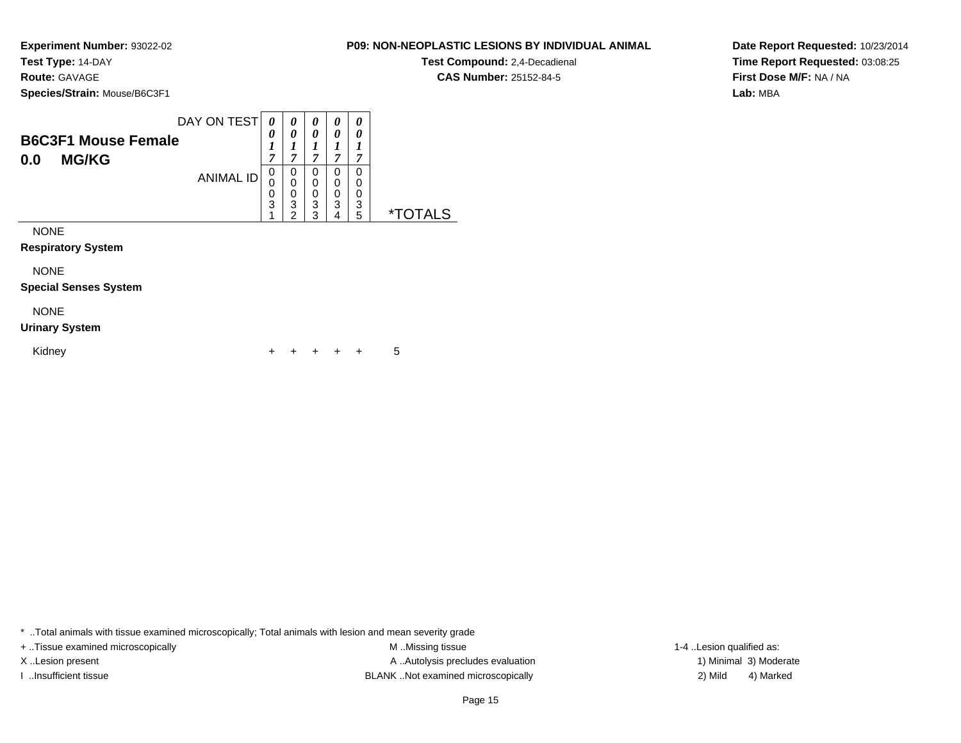#### **Route:** GAVAGE

**Species/Strain:** Mouse/B6C3F1

|                                                   | DAY ON TEST      | $\boldsymbol{\theta}$ |             | 0           | 0           | 0           |    |
|---------------------------------------------------|------------------|-----------------------|-------------|-------------|-------------|-------------|----|
| <b>B6C3F1 Mouse Female</b><br><b>MG/KG</b><br>0.0 |                  | 0<br>7                | 0<br>~      | 0<br>7      | 0<br>⇁      | 0<br>7      |    |
|                                                   | <b>ANIMAL ID</b> | U                     | 0<br>0<br>0 | 0<br>0<br>0 | 0<br>0<br>0 | 0<br>0<br>0 |    |
|                                                   |                  | 3                     | 3<br>⌒      | 3<br>っ      | 3<br>л      | 3<br>5      | *. |

NONE

**Respiratory System**

NONE

**Special Senses System**

### NONE

#### **Urinary System**

Kidney $\mathsf y$ <sup>+</sup> <sup>+</sup> <sup>+</sup> + 5

\* ..Total animals with tissue examined microscopically; Total animals with lesion and mean severity grade

+ ..Tissue examined microscopically examined microscopically examined as:  $M$  ..Missing tissue 1-4 ..Lesion qualified as: X..Lesion present **A ..Autolysis precludes evaluation** A ..Autolysis precludes evaluation 1) Minimal 3) Moderate I ..Insufficient tissue BLANK ..Not examined microscopically 2) Mild 4) Marked

### **P09: NON-NEOPLASTIC LESIONS BY INDIVIDUAL ANIMALTest Compound:** 2,4-Decadienal

**CAS Number:** 25152-84-5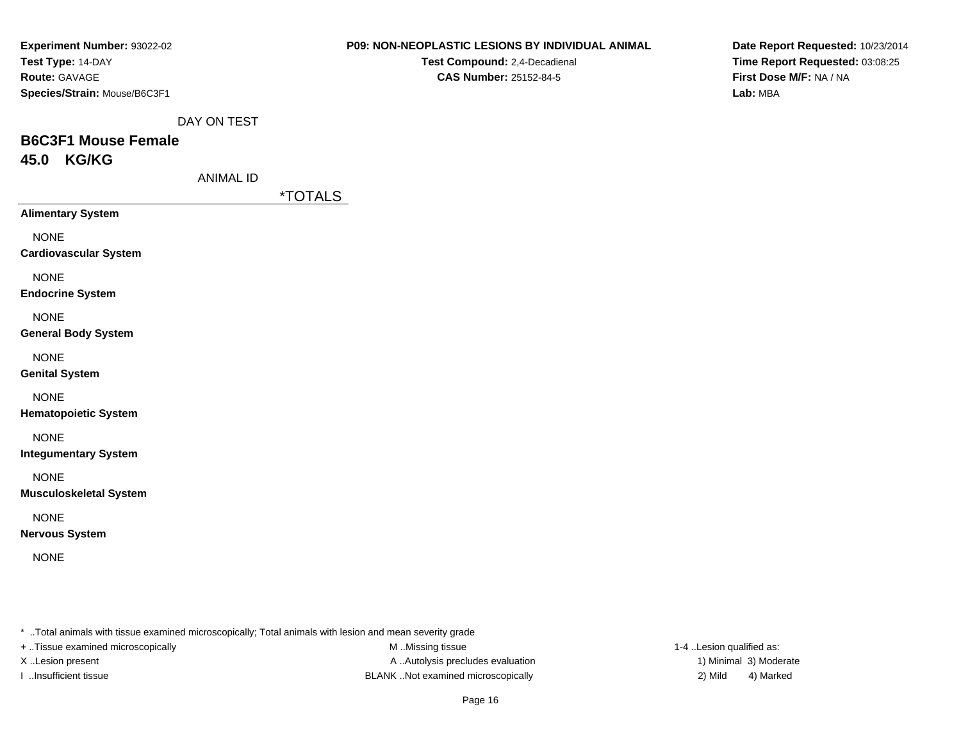| Experiment Number: 93022-02  |
|------------------------------|
| Test Type: 14-DAY            |
| <b>Route: GAVAGE</b>         |
| Species/Strain: Mouse/B6C3F1 |

**Test Compound:** 2,4-Decadienal **CAS Number:** 25152-84-5

**Date Report Requested:** 10/23/2014**Time Report Requested:** 03:08:25**First Dose M/F:** NA / NA**Lab:** MBA

DAY ON TEST

# **B6C3F1 Mouse Female45.0 KG/KG**

ANIMAL ID

\*TOTALS

**Alimentary System**

NONE

**Cardiovascular System**

NONE

**Endocrine System**

NONE

**General Body System**

NONE

**Genital System**

NONE

**Hematopoietic System**

NONE

**Integumentary System**

NONE

**Musculoskeletal System**

NONE

**Nervous System**

NONE

\* ..Total animals with tissue examined microscopically; Total animals with lesion and mean severity grade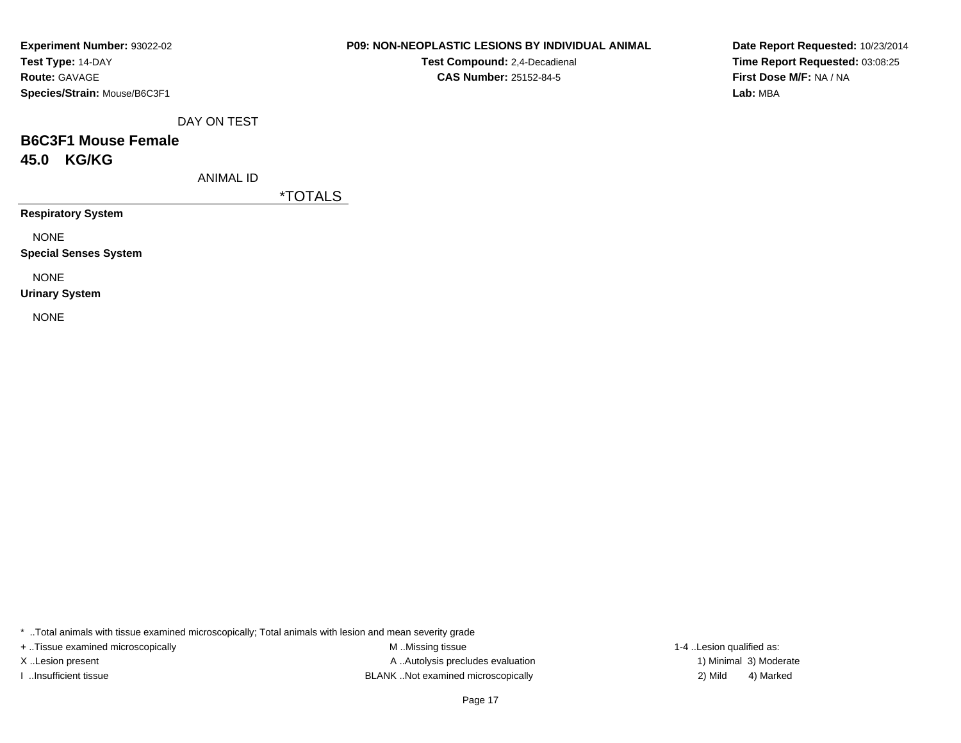| Experiment Number: 93022-02  |
|------------------------------|
| Test Type: 14-DAY            |
| <b>Route: GAVAGE</b>         |
| Species/Strain: Mouse/B6C3F1 |

**Test Compound:** 2,4-Decadienal **CAS Number:** 25152-84-5

**Date Report Requested:** 10/23/2014**Time Report Requested:** 03:08:25**First Dose M/F:** NA / NA**Lab:** MBA

DAY ON TEST

# **B6C3F1 Mouse Female45.0 KG/KG**

ANIMAL ID

\*TOTALS

**Respiratory System**

NONE

**Special Senses System**

NONE

**Urinary System**

NONE

\* ..Total animals with tissue examined microscopically; Total animals with lesion and mean severity grade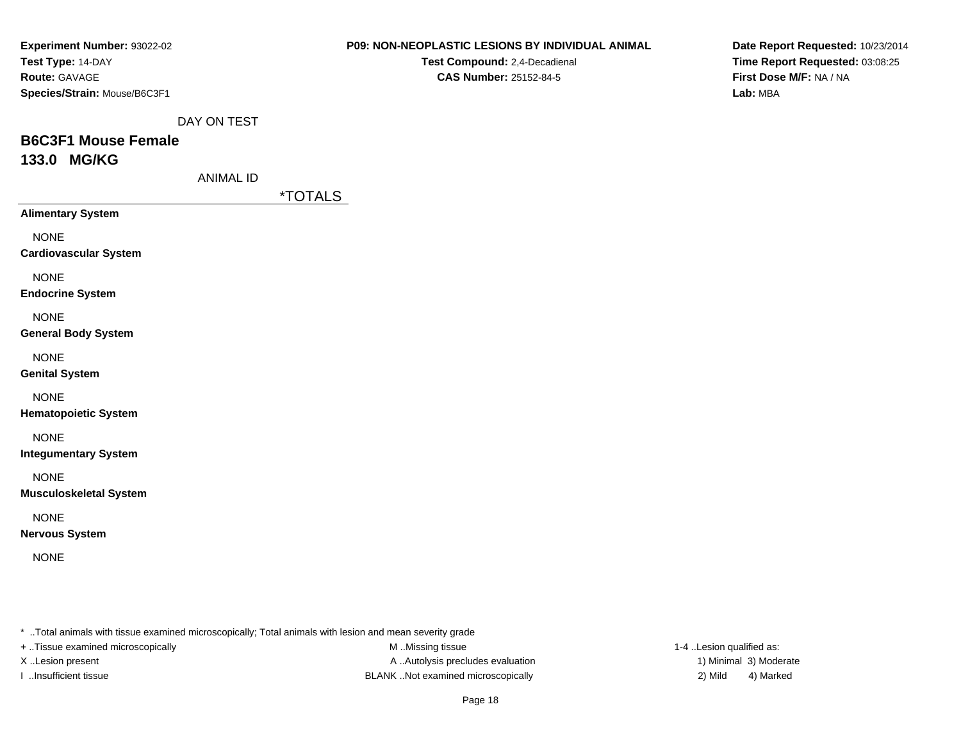| Experiment Number: 93022-02  |
|------------------------------|
| Test Type: 14-DAY            |
| <b>Route: GAVAGE</b>         |
| Species/Strain: Mouse/B6C3F1 |

**Test Compound:** 2,4-Decadienal **CAS Number:** 25152-84-5

**Date Report Requested:** 10/23/2014**Time Report Requested:** 03:08:25**First Dose M/F:** NA / NA**Lab:** MBA

DAY ON TEST

## **B6C3F1 Mouse Female133.0 MG/KG**

ANIMAL ID

\*TOTALS

**Alimentary System**

NONE

**Cardiovascular System**

NONE

**Endocrine System**

NONE

#### **General Body System**

NONE

**Genital System**

NONE

**Hematopoietic System**

NONE

**Integumentary System**

NONE

**Musculoskeletal System**

NONE

**Nervous System**

NONE

\* ..Total animals with tissue examined microscopically; Total animals with lesion and mean severity grade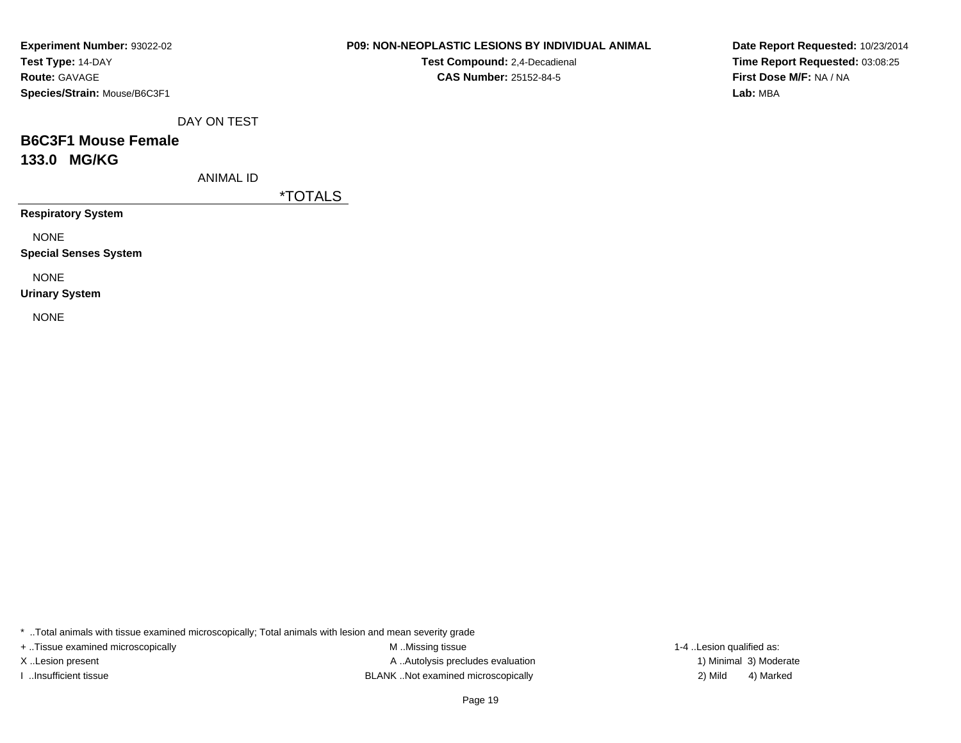| Experiment Number: 93022-02  |
|------------------------------|
| Test Type: 14-DAY            |
| <b>Route: GAVAGE</b>         |
| Species/Strain: Mouse/B6C3F1 |

**Test Compound:** 2,4-Decadienal **CAS Number:** 25152-84-5

**Date Report Requested:** 10/23/2014**Time Report Requested:** 03:08:25**First Dose M/F:** NA / NA**Lab:** MBA

DAY ON TEST

# **B6C3F1 Mouse Female133.0 MG/KG**

ANIMAL ID

\*TOTALS

**Respiratory System**

NONE

**Special Senses System**

NONE

**Urinary System**

NONE

\* ..Total animals with tissue examined microscopically; Total animals with lesion and mean severity grade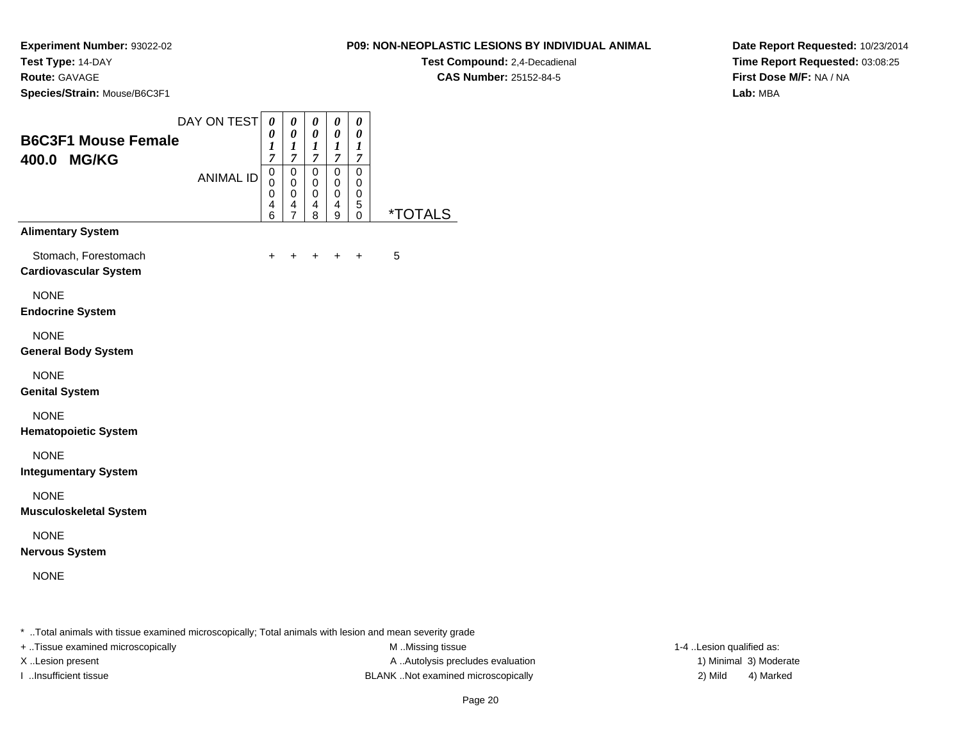### **Route:** GAVAGE

**Species/Strain:** Mouse/B6C3F1

#### **P09: NON-NEOPLASTIC LESIONS BY INDIVIDUAL ANIMAL**

**Test Compound:** 2,4-Decadienal **CAS Number:** 25152-84-5

**Date Report Requested:** 10/23/2014**Time Report Requested:** 03:08:25**First Dose M/F:** NA / NA**Lab:** MBA

| <b>B6C3F1 Mouse Female</b><br>400.0 MG/KG            | DAY ON TEST      | 0<br>0<br>1<br>$\overline{7}$   | 0<br>0<br>$\boldsymbol{l}$<br>$\overline{7}$           | 0<br>0<br>1<br>$\overline{7}$             | 0<br>0<br>$\boldsymbol{l}$<br>$\overline{7}$    | $\boldsymbol{\theta}$<br>0<br>1<br>$\overline{7}$   |                |
|------------------------------------------------------|------------------|---------------------------------|--------------------------------------------------------|-------------------------------------------|-------------------------------------------------|-----------------------------------------------------|----------------|
|                                                      | <b>ANIMAL ID</b> | $\mathsf 0$<br>0<br>0<br>4<br>6 | $\mathbf 0$<br>$\mathbf 0$<br>0<br>4<br>$\overline{7}$ | $\mathbf 0$<br>0<br>$\mathbf 0$<br>4<br>8 | $\pmb{0}$<br>$\pmb{0}$<br>$\mathbf 0$<br>4<br>9 | $\mathbf 0$<br>0<br>$\mathbf 0$<br>$\mathbf 5$<br>0 | <u>*TOTALS</u> |
| <b>Alimentary System</b>                             |                  |                                 |                                                        |                                           |                                                 |                                                     |                |
| Stomach, Forestomach<br><b>Cardiovascular System</b> |                  | +                               | ٠                                                      | +                                         | ÷                                               | $\ddot{}$                                           | 5              |
| <b>NONE</b><br><b>Endocrine System</b>               |                  |                                 |                                                        |                                           |                                                 |                                                     |                |
| <b>NONE</b><br><b>General Body System</b>            |                  |                                 |                                                        |                                           |                                                 |                                                     |                |
| <b>NONE</b><br><b>Genital System</b>                 |                  |                                 |                                                        |                                           |                                                 |                                                     |                |
| <b>NONE</b><br><b>Hematopoietic System</b>           |                  |                                 |                                                        |                                           |                                                 |                                                     |                |
| <b>NONE</b><br><b>Integumentary System</b>           |                  |                                 |                                                        |                                           |                                                 |                                                     |                |
| <b>NONE</b><br><b>Musculoskeletal System</b>         |                  |                                 |                                                        |                                           |                                                 |                                                     |                |
| <b>NONE</b><br><b>Nervous System</b>                 |                  |                                 |                                                        |                                           |                                                 |                                                     |                |
|                                                      |                  |                                 |                                                        |                                           |                                                 |                                                     |                |

\* ..Total animals with tissue examined microscopically; Total animals with lesion and mean severity grade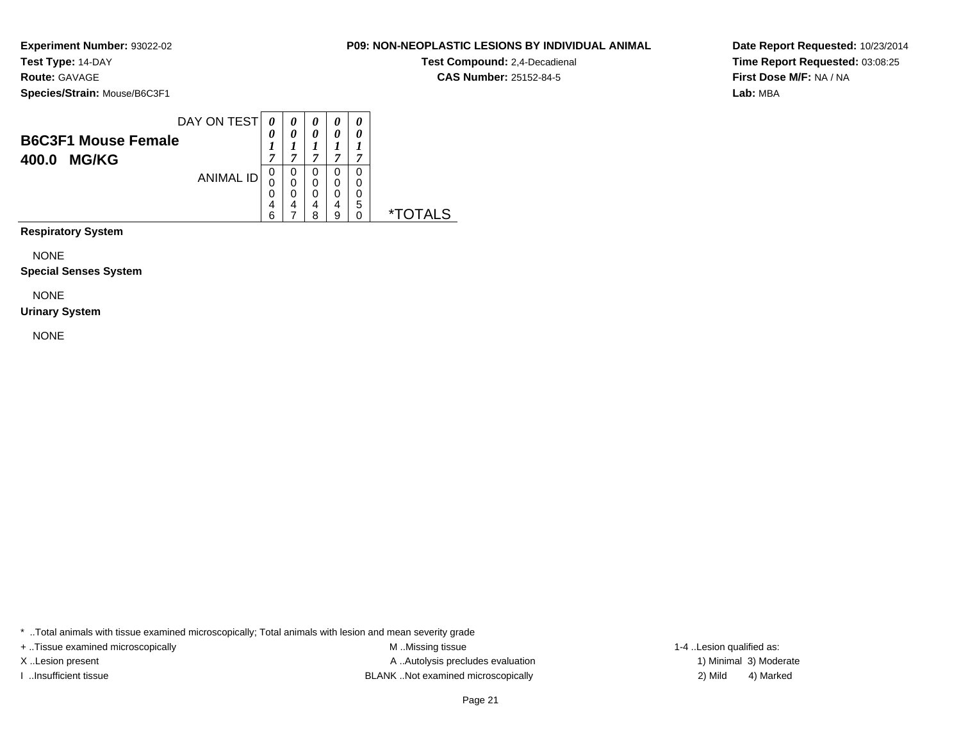**Experiment Number:** 93022-02**Test Type:** 14-DAY**Route:** GAVAGE

**Species/Strain:** Mouse/B6C3F1

| <b>B6C3F1 Mouse Female</b><br><b>MG/KG</b><br>400.0 | DAY ON TEST      | 0<br>7 | 0                | 0<br>0<br>,           | 0<br>0<br>−           | $\theta$<br>0<br>7 |    |
|-----------------------------------------------------|------------------|--------|------------------|-----------------------|-----------------------|--------------------|----|
|                                                     | <b>ANIMAL ID</b> | 0<br>ี | 0<br>0<br>0<br>4 | 0<br>0<br>0<br>4<br>Զ | 0<br>0<br>0<br>4<br>a | 0<br>0<br>0<br>5   | *. |

**Respiratory System**

NONE

**Special Senses System**

NONE

#### **Urinary System**

NONE

\* ..Total animals with tissue examined microscopically; Total animals with lesion and mean severity grade

+ ..Tissue examined microscopically examined microscopically examined as:  $M$  ..Missing tissue 1-4 ..Lesion qualified as: X..Lesion present **A ..Autolysis precludes evaluation** A ..Autolysis precludes evaluation 1) Minimal 3) Moderate I ..Insufficient tissue BLANK ..Not examined microscopically 2) Mild 4) Marked

**Date Report Requested:** 10/23/2014**Time Report Requested:** 03:08:25**First Dose M/F:** NA / NA**Lab:** MBA

**CAS Number:** 25152-84-5

**P09: NON-NEOPLASTIC LESIONS BY INDIVIDUAL ANIMAL**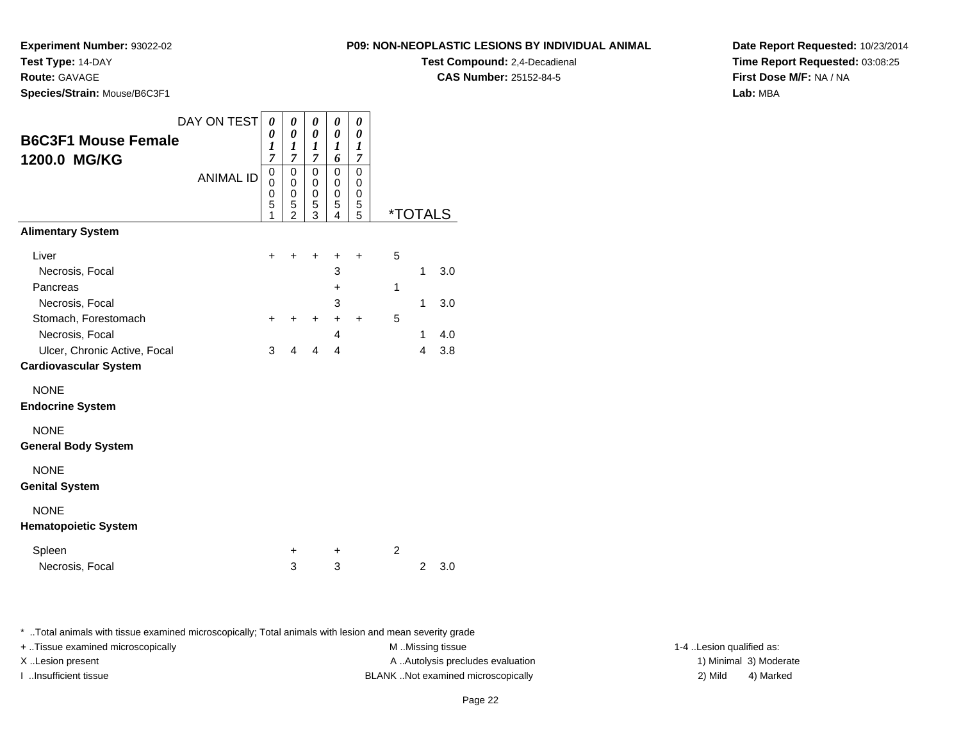**Experiment Number:** 93022-02**Test Type:** 14-DAY

**Route:** GAVAGE

**Species/Strain:** Mouse/B6C3F1

| <b>P09: NON-NEOPLASTIC LESIONS BY INDIVIDUAL AND</b> |
|------------------------------------------------------|
| <b>Test Compound: 2,4-Decadienal</b>                 |

**CAS Number:** 25152-84-5

**Date Report Requested:** 10/23/2014**Time Report Requested:** 03:08:25**First Dose M/F:** NA / NA**Lab:** MBA

| DAY ON TEST                  |                  | 0                | 0                   | 0                | 0         | 0                     |                |                |                       |
|------------------------------|------------------|------------------|---------------------|------------------|-----------|-----------------------|----------------|----------------|-----------------------|
| <b>B6C3F1 Mouse Female</b>   |                  | 0<br>1           | 0<br>1              | 0<br>1           | 0<br>1    | 0<br>$\boldsymbol{l}$ |                |                |                       |
| 1200.0 MG/KG                 |                  | 7                | $\overline{7}$      | 7                | 6         | 7                     |                |                |                       |
|                              | <b>ANIMAL ID</b> | 0<br>$\mathbf 0$ | 0<br>0              | 0<br>$\mathbf 0$ | 0<br>0    | 0<br>0                |                |                |                       |
|                              |                  | $\mathbf 0$      | 0                   | 0                | 0         | 0                     |                |                |                       |
|                              |                  | 5<br>1           | 5<br>$\overline{2}$ | 5<br>3           | 5<br>4    | 5<br>5                |                |                | <i><b>*TOTALS</b></i> |
| <b>Alimentary System</b>     |                  |                  |                     |                  |           |                       |                |                |                       |
| Liver                        |                  | ÷                | ÷                   | +                | +         | $\ddot{}$             | 5              |                |                       |
| Necrosis, Focal              |                  |                  |                     |                  | 3         |                       |                | 1              | 3.0                   |
| Pancreas                     |                  |                  |                     |                  | +         |                       | 1              |                |                       |
| Necrosis, Focal              |                  |                  |                     |                  | 3         |                       |                | 1              | 3.0                   |
| Stomach, Forestomach         |                  | $\ddot{}$        | $\ddot{}$           | $\ddot{}$        | $\ddot{}$ | $\ddot{}$             | 5              |                |                       |
| Necrosis, Focal              |                  |                  |                     |                  | 4         |                       |                | 1              | 4.0                   |
| Ulcer, Chronic Active, Focal |                  | 3                | 4                   | 4                | 4         |                       |                | 4              | 3.8                   |
| <b>Cardiovascular System</b> |                  |                  |                     |                  |           |                       |                |                |                       |
| <b>NONE</b>                  |                  |                  |                     |                  |           |                       |                |                |                       |
| <b>Endocrine System</b>      |                  |                  |                     |                  |           |                       |                |                |                       |
| <b>NONE</b>                  |                  |                  |                     |                  |           |                       |                |                |                       |
| <b>General Body System</b>   |                  |                  |                     |                  |           |                       |                |                |                       |
| <b>NONE</b>                  |                  |                  |                     |                  |           |                       |                |                |                       |
| <b>Genital System</b>        |                  |                  |                     |                  |           |                       |                |                |                       |
| <b>NONE</b>                  |                  |                  |                     |                  |           |                       |                |                |                       |
| <b>Hematopoietic System</b>  |                  |                  |                     |                  |           |                       |                |                |                       |
| Spleen                       |                  |                  | +                   |                  | +         |                       | $\overline{c}$ |                |                       |
| Necrosis, Focal              |                  |                  | 3                   |                  | 3         |                       |                | $\overline{2}$ | 3.0                   |

\* ..Total animals with tissue examined microscopically; Total animals with lesion and mean severity grade

+ ..Tissue examined microscopically examined microscopically examined as:  $M$  ..Missing tissue 1-4 ..Lesion qualified as:

X..Lesion present **A ..Autolysis precludes evaluation** A ..Autolysis precludes evaluation 1) Minimal 3) Moderate I ..Insufficient tissue BLANK ..Not examined microscopically 2) Mild 4) Marked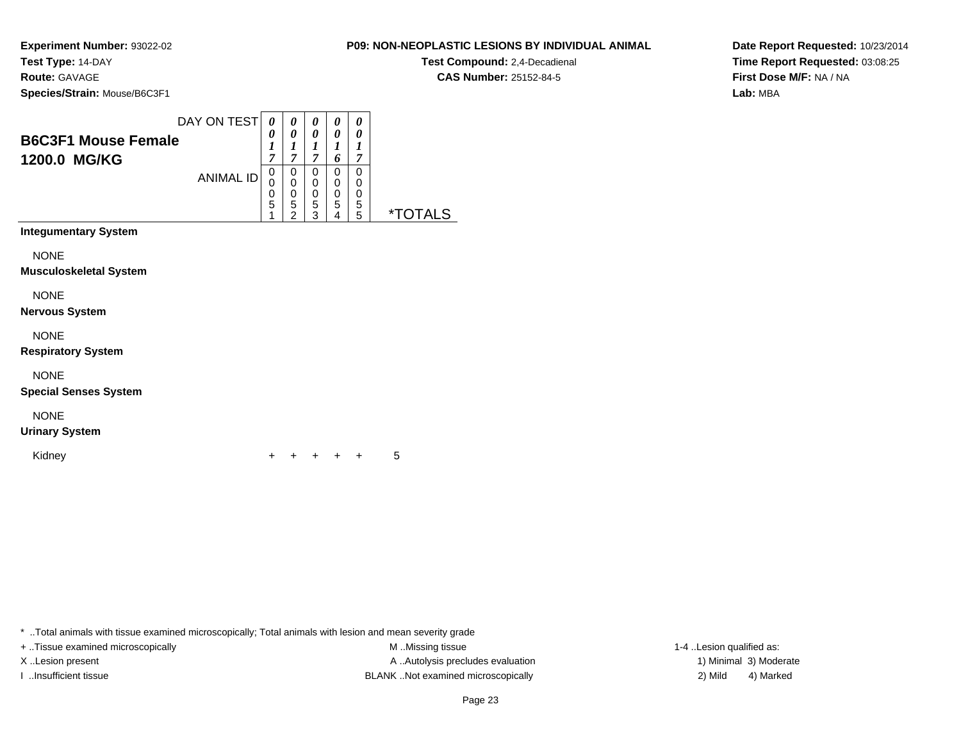**Experiment Number:** 93022-02

**Test Type:** 14-DAY**Route:** GAVAGE

**Species/Strain:** Mouse/B6C3F1

| DAY ON TEST<br><b>B6C3F1 Mouse Female</b><br>1200.0 MG/KG<br><b>ANIMAL ID</b> | 0<br>7<br>0<br>U<br>0<br>5 | 0<br>0<br>7<br>0<br>0<br>0<br>5 | 0<br>0<br>7<br>0<br>0<br>0<br>5 | 0<br>0<br>6<br>0<br>0<br>0<br>5 | 0<br>0<br>7<br>0<br>0<br>0<br>5 |  |
|-------------------------------------------------------------------------------|----------------------------|---------------------------------|---------------------------------|---------------------------------|---------------------------------|--|
|                                                                               |                            | ◠                               | 3                               | 4                               | 5                               |  |

**Integumentary System**

**NONE** 

**Musculoskeletal System**

NONE

**Nervous System**

NONE

**Respiratory System**

NONE

**Special Senses System**

NONE

### **Urinary System**

Kidney

 <sup>+</sup><sup>+</sup> <sup>+</sup> <sup>+</sup> + 5

\* ..Total animals with tissue examined microscopically; Total animals with lesion and mean severity grade

+ ..Tissue examined microscopically examined microscopically examined as:  $M$  ..Missing tissue 1-4 ..Lesion qualified as: X..Lesion present **A ..Autolysis precludes evaluation** A ..Autolysis precludes evaluation 1) Minimal 3) Moderate I ..Insufficient tissue BLANK ..Not examined microscopically 2) Mild 4) Marked

### **P09: NON-NEOPLASTIC LESIONS BY INDIVIDUAL ANIMAL**

**Test Compound:** 2,4-Decadienal **CAS Number:** 25152-84-5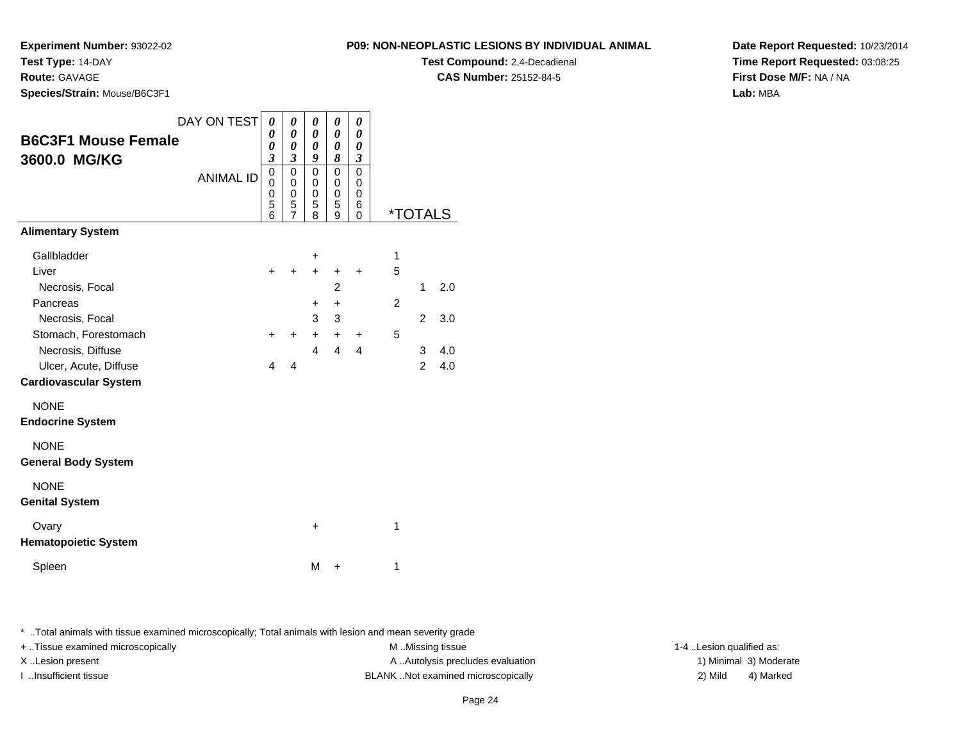**Experiment Number:** 93022-02

**P09: NON-NEOPLASTIC LESIONS BY INDIVIDUAL ANIMALTest Compound:** 2,4-Decadienal

**CAS Number:** 25152-84-5

**Date Report Requested:** 10/23/2014**Time Report Requested:** 03:08:25**First Dose M/F:** NA / NA**Lab:** MBA

| Test Type: 14-DAY            |                         |
|------------------------------|-------------------------|
| <b>Route: GAVAGE</b>         |                         |
| Species/Strain: Mouse/B6C3F1 |                         |
|                              |                         |
|                              | DAY ON TEST $\boxed{0}$ |
| <b>B6C3F1 Mouse Female</b>   |                         |
|                              |                         |
| 3600.0 MG/KG                 |                         |
|                              | ΔΝΙΙΜΔΙ                 |

| 0                                     |
|---------------------------------------|
| 0                                     |
| 3                                     |
| 0<br>0<br>0<br>6                      |
| <i><b>*TOTALS</b></i><br>$\mathbf{0}$ |
|                                       |
| 1                                     |
| 5<br>$\ddot{}$                        |
| 2.0<br>1                              |
| 2                                     |
| $\overline{c}$<br>3.0                 |
| 5<br>+                                |
| 4<br>3<br>4.0                         |
| $\overline{2}$<br>4.0                 |
|                                       |
|                                       |
|                                       |
|                                       |
|                                       |
|                                       |
|                                       |
| 1                                     |
|                                       |
| 1                                     |
|                                       |

\* ..Total animals with tissue examined microscopically; Total animals with lesion and mean severity grade